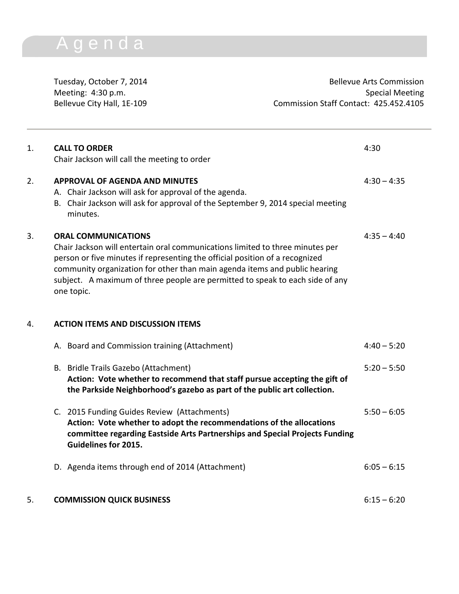## A g e n d a

Tuesday, October 7, 2014 and 1990 and 1990 and 1990 and 1990 and 1990 and 1990 and 1990 and 1990 and 1990 and 1 Meeting: 4:30 p.m.<br>Bellevue City Hall, 1E-109 Commission Staff Contact: 425.452.4105 Commission Staff Contact: 425.452.4105

| 1. | <b>CALL TO ORDER</b><br>Chair Jackson will call the meeting to order                                                                                                                                                                                                                                                                                                     | 4:30          |
|----|--------------------------------------------------------------------------------------------------------------------------------------------------------------------------------------------------------------------------------------------------------------------------------------------------------------------------------------------------------------------------|---------------|
| 2. | <b>APPROVAL OF AGENDA AND MINUTES</b><br>A. Chair Jackson will ask for approval of the agenda.<br>B. Chair Jackson will ask for approval of the September 9, 2014 special meeting<br>minutes.                                                                                                                                                                            | $4:30 - 4:35$ |
| 3. | <b>ORAL COMMUNICATIONS</b><br>Chair Jackson will entertain oral communications limited to three minutes per<br>person or five minutes if representing the official position of a recognized<br>community organization for other than main agenda items and public hearing<br>subject. A maximum of three people are permitted to speak to each side of any<br>one topic. | $4:35 - 4:40$ |
| 4. | <b>ACTION ITEMS AND DISCUSSION ITEMS</b>                                                                                                                                                                                                                                                                                                                                 |               |
|    | A. Board and Commission training (Attachment)                                                                                                                                                                                                                                                                                                                            | $4:40 - 5:20$ |
|    | B. Bridle Trails Gazebo (Attachment)<br>Action: Vote whether to recommend that staff pursue accepting the gift of<br>the Parkside Neighborhood's gazebo as part of the public art collection.                                                                                                                                                                            | $5:20 - 5:50$ |
|    | C. 2015 Funding Guides Review (Attachments)<br>Action: Vote whether to adopt the recommendations of the allocations<br>committee regarding Eastside Arts Partnerships and Special Projects Funding<br><b>Guidelines for 2015.</b>                                                                                                                                        | $5:50 - 6:05$ |
|    | D. Agenda items through end of 2014 (Attachment)                                                                                                                                                                                                                                                                                                                         | $6:05 - 6:15$ |
| 5. | <b>COMMISSION QUICK BUSINESS</b>                                                                                                                                                                                                                                                                                                                                         | $6:15 - 6:20$ |